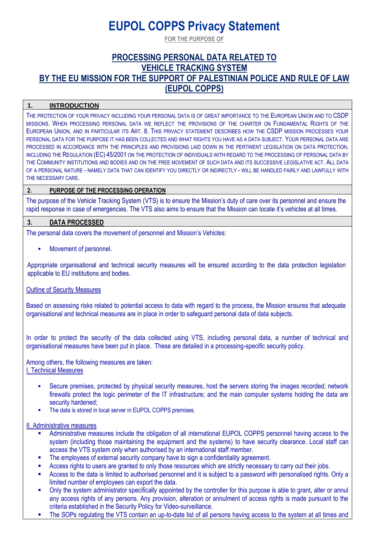# **EUPOL COPPS Privacy Statement**

**FOR THE PURPOSE OF**

# **PROCESSING PERSONAL DATA RELATED TO VEHICLE TRACKING SYSTEM BY THE EU MISSION FOR THE SUPPORT OF PALESTINIAN POLICE AND RULE OF LAW (EUPOL COPPS)**

# **1. INTRODUCTION**

THE PROTECTION OF YOUR PRIVACY INCLUDING YOUR PERSONAL DATA IS OF GREAT IMPORTANCE TO THE EUROPEAN UNION AND TO CSDP MISSIONS. WHEN PROCESSING PERSONAL DATA WE REFLECT THE PROVISIONS OF THE CHARTER ON FUNDAMENTAL RIGHTS OF THE EUROPEAN UNION, AND IN PARTICULAR ITS ART. 8. THIS PRIVACY STATEMENT DESCRIBES HOW THE CSDP MISSION PROCESSES YOUR PERSONAL DATA FOR THE PURPOSE IT HAS BEEN COLLECTED AND WHAT RIGHTS YOU HAVE AS A DATA SUBJECT. YOUR PERSONAL DATA ARE PROCESSED IN ACCORDANCE WITH THE PRINCIPLES AND PROVISIONS LAID DOWN IN THE PERTINENT LEGISLATION ON DATA PROTECTION. INCLUDING THE REGULATION (EC) 45/2001 ON THE PROTECTION OF INDIVIDUALS WITH REGARD TO THE PROCESSING OF PERSONAL DATA BY THE COMMUNITY INSTITUTIONS AND BODIES AND ON THE FREE MOVEMENT OF SUCH DATA AND ITS SUCCESSIVE LEGISLATIVE ACT. ALL DATA OF A PERSONAL NATURE - NAMELY DATA THAT CAN IDENTIFY YOU DIRECTLY OR INDIRECTLY - WILL BE HANDLED FAIRLY AND LAWFULLY WITH THE NECESSARY CARE.

# **2. PURPOSE OF THE PROCESSING OPERATION**

The purpose of the Vehicle Tracking System (VTS) is to ensure the Mission's duty of care over its personnel and ensure the rapid response in case of emergencies. The VTS also aims to ensure that the Mission can locate it's vehicles at all times.

# **3. DATA PROCESSED**

The personal data covers the movement of personnel and Mission's Vehicles:

Movement of personnel.

Appropriate organisational and technical security measures will be ensured according to the data protection legislation applicable to EU institutions and bodies.

# Outline of Security Measures

Based on assessing risks related to potential access to data with regard to the process, the Mission ensures that adequate organisational and technical measures are in place in order to safeguard personal data of data subjects.

In order to protect the security of the data collected using VTS, including personal data, a number of technical and organisational measures have been put in place. These are detailed in a processing-specific security policy.

Among others, the following measures are taken: I. Technical Measures

- Secure premises, protected by physical security measures, host the servers storing the images recorded; network firewalls protect the logic perimeter of the IT infrastructure; and the main computer systems holding the data are security hardened:
- The data is stored in local server in EUPOL COPPS premises.

#### II. Administrative measures

- Administrative measures include the obligation of all international EUPOL COPPS personnel having access to the system (including those maintaining the equipment and the systems) to have security clearance. Local staff can access the VTS system only when authorised by an international staff member.
- The employees of external security company have to sign a confidentiality agreement.
- Access rights to users are granted to only those resources which are strictly necessary to carry out their jobs.
- Access to the data is limited to authorised personnel and it is subject to a password with personalised rights. Only a limited number of employees can export the data.
- Only the system administrator specifically appointed by the controller for this purpose is able to grant, alter or annul any access rights of any persons. Any provision, alteration or annulment of access rights is made pursuant to the criteria established in the Security Policy for Video-surveillance.
- The SOPs regulating the VTS contain an up-to-date list of all persons having access to the system at all times and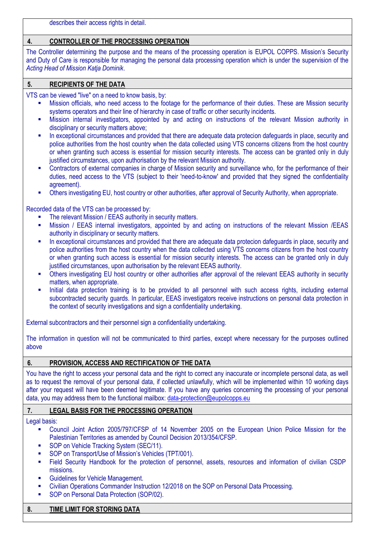describes their access rights in detail.

# **4. CONTROLLER OF THE PROCESSING OPERATION**

The Controller determining the purpose and the means of the processing operation is EUPOL COPPS. Mission's Security and Duty of Care is responsible for managing the personal data processing operation which is under the supervision of the *Acting Head of Mission Katja Dominik*.

# **5. RECIPIENTS OF THE DATA**

VTS can be viewed "live" on a need to know basis, by:

- Mission officials, who need access to the footage for the performance of their duties. These are Mission security systems operators and their line of hierarchy in case of traffic or other security incidents.
- Mission internal investigators, appointed by and acting on instructions of the relevant Mission authority in disciplinary or security matters above;
- **■** In exceptional circumstances and provided that there are adequate data protecion dafeguards in place, security and police authorities from the host country when the data collected using VTS concerns citizens from the host country or when granting such access is essential for mission security interests. The access can be granted only in duly justified circumstances, upon authorisation by the relevant Mission authority.
- Contractors of external companies in charge of Mission security and surveillance who, for the performance of their duties, need access to the VTS (subject to their 'need-to-know' and provided that they signed the confidentiality agreement).
- Others investigating EU, host country or other authorities, after approval of Security Authority, when appropriate.

Recorded data of the VTS can be processed by:

- The relevant Mission / EEAS authority in security matters.
- Mission / EEAS internal investigators, appointed by and acting on instructions of the relevant Mission /EEAS authority in disciplinary or security matters.
- **■** In exceptional circumstances and provided that there are adequate data protecion dafeguards in place, security and police authorities from the host country when the data collected using VTS concerns citizens from the host country or when granting such access is essential for mission security interests. The access can be granted only in duly justified circumstances, upon authorisation by the relevant EEAS authority.
- Others investigating EU host country or other authorities after approval of the relevant EEAS authority in security matters, when appropriate.
- **.** Initial data protection training is to be provided to all personnel with such access rights, including external subcontracted security guards. In particular, EEAS investigators receive instructions on personal data protection in the context of security investigations and sign a confidentiality undertaking.

External subcontractors and their personnel sign a confidentiality undertaking.

The information in question will not be communicated to third parties, except where necessary for the purposes outlined above

# **6. PROVISION, ACCESS AND RECTIFICATION OF THE DATA**

You have the right to access your personal data and the right to correct any inaccurate or incomplete personal data, as well as to request the removal of your personal data, if collected unlawfully, which will be implemented within 10 working days after your request will have been deemed legitimate. If you have any queries concerning the processing of your personal data, you may address them to the functional mailbox[: data-protection@eupolcopps.eu](mailto:data-protection@eupolcopps.eu)

# **7. LEGAL BASIS FOR THE PROCESSING OPERATION**

Legal basis:

- Council Joint Action 2005/797/CFSP of 14 November 2005 on the European Union Police Mission for the Palestinian Territories as amended by Council Decision 2013/354/CFSP.
- SOP on Vehicle Tracking System (SEC/11).
- SOP on Transport/Use of Mission's Vehicles (TPT/001).
- Field Security Handbook for the protection of personnel, assets, resources and information of civilian CSDP missions.
- **■** Guidelines for Vehicle Management.
- Civilian Operations Commander Instruction 12/2018 on the SOP on Personal Data Processing.
- SOP on Personal Data Protection (SOP/02).

# **8. TIME LIMIT FOR STORING DATA**